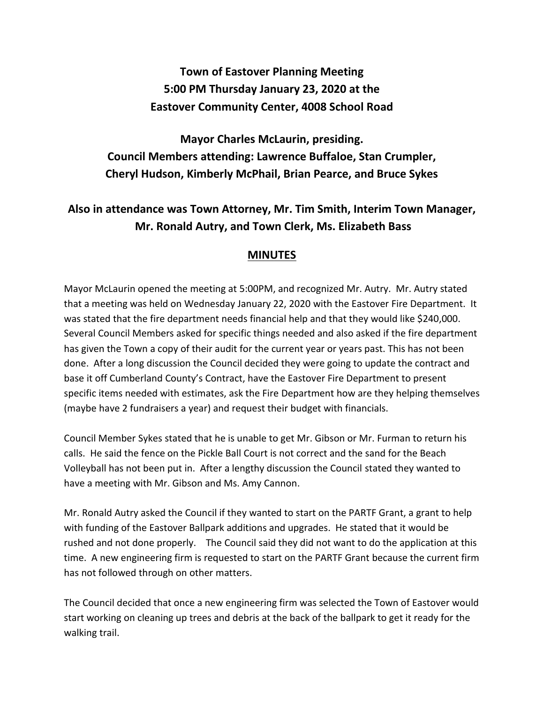## **Town of Eastover Planning Meeting 5:00 PM Thursday January 23, 2020 at the Eastover Community Center, 4008 School Road**

**Mayor Charles McLaurin, presiding. Council Members attending: Lawrence Buffaloe, Stan Crumpler, Cheryl Hudson, Kimberly McPhail, Brian Pearce, and Bruce Sykes**

## **Also in attendance was Town Attorney, Mr. Tim Smith, Interim Town Manager, Mr. Ronald Autry, and Town Clerk, Ms. Elizabeth Bass**

## **MINUTES**

Mayor McLaurin opened the meeting at 5:00PM, and recognized Mr. Autry. Mr. Autry stated that a meeting was held on Wednesday January 22, 2020 with the Eastover Fire Department. It was stated that the fire department needs financial help and that they would like \$240,000. Several Council Members asked for specific things needed and also asked if the fire department has given the Town a copy of their audit for the current year or years past. This has not been done. After a long discussion the Council decided they were going to update the contract and base it off Cumberland County's Contract, have the Eastover Fire Department to present specific items needed with estimates, ask the Fire Department how are they helping themselves (maybe have 2 fundraisers a year) and request their budget with financials.

Council Member Sykes stated that he is unable to get Mr. Gibson or Mr. Furman to return his calls. He said the fence on the Pickle Ball Court is not correct and the sand for the Beach Volleyball has not been put in. After a lengthy discussion the Council stated they wanted to have a meeting with Mr. Gibson and Ms. Amy Cannon.

Mr. Ronald Autry asked the Council if they wanted to start on the PARTF Grant, a grant to help with funding of the Eastover Ballpark additions and upgrades. He stated that it would be rushed and not done properly. The Council said they did not want to do the application at this time. A new engineering firm is requested to start on the PARTF Grant because the current firm has not followed through on other matters.

The Council decided that once a new engineering firm was selected the Town of Eastover would start working on cleaning up trees and debris at the back of the ballpark to get it ready for the walking trail.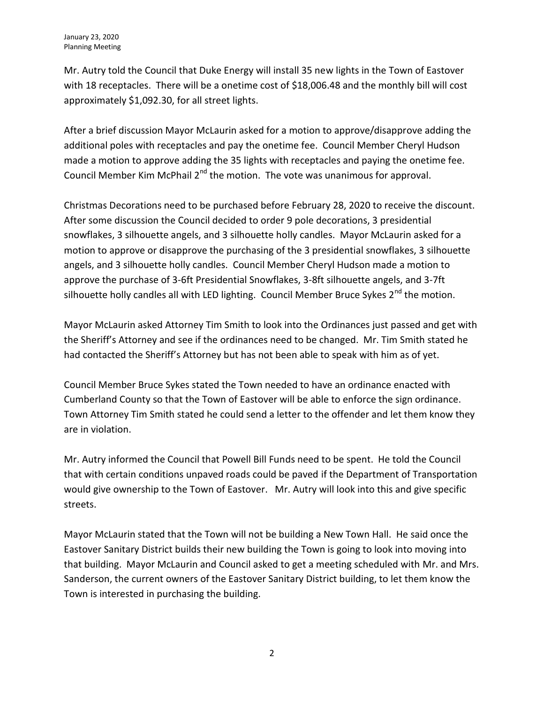Mr. Autry told the Council that Duke Energy will install 35 new lights in the Town of Eastover with 18 receptacles. There will be a onetime cost of \$18,006.48 and the monthly bill will cost approximately \$1,092.30, for all street lights.

After a brief discussion Mayor McLaurin asked for a motion to approve/disapprove adding the additional poles with receptacles and pay the onetime fee. Council Member Cheryl Hudson made a motion to approve adding the 35 lights with receptacles and paying the onetime fee. Council Member Kim McPhail  $2^{nd}$  the motion. The vote was unanimous for approval.

Christmas Decorations need to be purchased before February 28, 2020 to receive the discount. After some discussion the Council decided to order 9 pole decorations, 3 presidential snowflakes, 3 silhouette angels, and 3 silhouette holly candles. Mayor McLaurin asked for a motion to approve or disapprove the purchasing of the 3 presidential snowflakes, 3 silhouette angels, and 3 silhouette holly candles. Council Member Cheryl Hudson made a motion to approve the purchase of 3-6ft Presidential Snowflakes, 3-8ft silhouette angels, and 3-7ft silhouette holly candles all with LED lighting. Council Member Bruce Sykes  $2<sup>nd</sup>$  the motion.

Mayor McLaurin asked Attorney Tim Smith to look into the Ordinances just passed and get with the Sheriff's Attorney and see if the ordinances need to be changed. Mr. Tim Smith stated he had contacted the Sheriff's Attorney but has not been able to speak with him as of yet.

Council Member Bruce Sykes stated the Town needed to have an ordinance enacted with Cumberland County so that the Town of Eastover will be able to enforce the sign ordinance. Town Attorney Tim Smith stated he could send a letter to the offender and let them know they are in violation.

Mr. Autry informed the Council that Powell Bill Funds need to be spent. He told the Council that with certain conditions unpaved roads could be paved if the Department of Transportation would give ownership to the Town of Eastover. Mr. Autry will look into this and give specific streets.

Mayor McLaurin stated that the Town will not be building a New Town Hall. He said once the Eastover Sanitary District builds their new building the Town is going to look into moving into that building. Mayor McLaurin and Council asked to get a meeting scheduled with Mr. and Mrs. Sanderson, the current owners of the Eastover Sanitary District building, to let them know the Town is interested in purchasing the building.